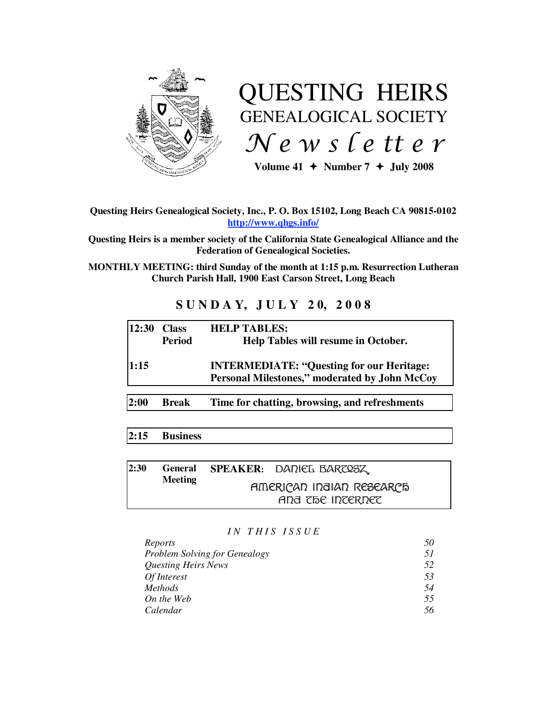

# QUESTING HEIRS GENEALOGICAL SOCIETY Newsletter

Volume  $41 +$  Number  $7 +$  July 2008

# **Questing Heirs Genealogical Society, Inc., P. O. Box 15102, Long Beach CA 90815-0102 http://www.qhgs.info/**

**Questing Heirs is a member society of the California State Genealogical Alliance and the Federation of Genealogical Societies.** 

**MONTHLY MEETING: third Sunday of the month at 1:15 p.m. Resurrection Lutheran Church Parish Hall, 1900 East Carson Street, Long Beach** 

# **S U N D A Y, J U L Y 2 0, 2 0 0 8**

| 12:30 | <b>Class</b><br><b>Period</b> | <b>HELP TABLES:</b><br>Help Tables will resume in October.                                        |
|-------|-------------------------------|---------------------------------------------------------------------------------------------------|
| 1:15  |                               | <b>INTERMEDIATE: "Questing for our Heritage:</b><br>Personal Milestones," moderated by John McCoy |
| 2:00  | <b>Break</b>                  | Time for chatting, browsing, and refreshments                                                     |

# **2:15 Business**

| 2:30 | <b>General</b> | SPEAKER: DADIEL BARZOSZ                      |  |
|------|----------------|----------------------------------------------|--|
|      | <b>Meeting</b> | AMERICAD IDOIAD RESEARCE<br>and the internet |  |

#### *I N T H I S I S S U E*

| Reports                              | 50  |
|--------------------------------------|-----|
| <b>Problem Solving for Genealogy</b> | .51 |
| <b>Questing Heirs News</b>           | 52  |
| Of Interest                          | 53  |
| <i>Methods</i>                       | 54  |
| On the Web                           | .55 |
| Calendar                             | 56  |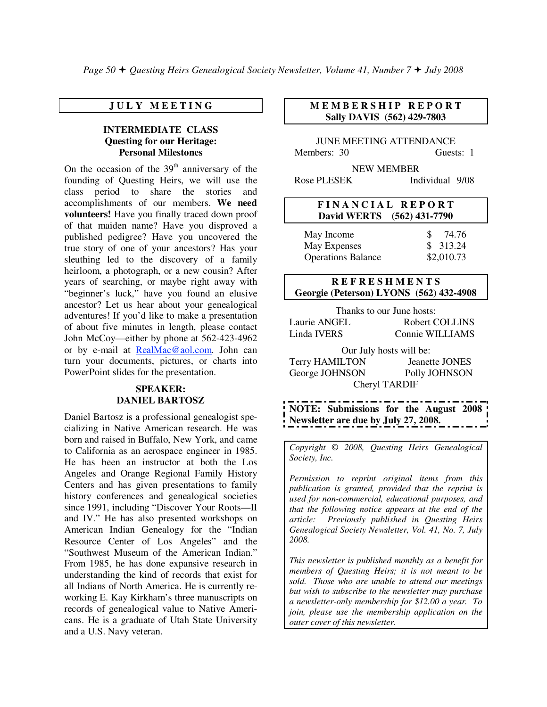# **J U L Y M E E T I N G**

# **INTERMEDIATE CLASS Questing for our Heritage: Personal Milestones**

On the occasion of the  $39<sup>th</sup>$  anniversary of the founding of Questing Heirs, we will use the class period to share the stories and accomplishments of our members. **We need volunteers!** Have you finally traced down proof of that maiden name? Have you disproved a published pedigree? Have you uncovered the true story of one of your ancestors? Has your sleuthing led to the discovery of a family heirloom, a photograph, or a new cousin? After years of searching, or maybe right away with "beginner's luck," have you found an elusive ancestor? Let us hear about your genealogical adventures! If you'd like to make a presentation of about five minutes in length, please contact John McCoy—either by phone at 562-423-4962 or by e-mail at RealMac@aol.com. John can turn your documents, pictures, or charts into PowerPoint slides for the presentation.

#### **SPEAKER: DANIEL BARTOSZ**

Daniel Bartosz is a professional genealogist specializing in Native American research. He was born and raised in Buffalo, New York, and came to California as an aerospace engineer in 1985. He has been an instructor at both the Los Angeles and Orange Regional Family History Centers and has given presentations to family history conferences and genealogical societies since 1991, including "Discover Your Roots—II and IV." He has also presented workshops on American Indian Genealogy for the "Indian Resource Center of Los Angeles" and the "Southwest Museum of the American Indian." From 1985, he has done expansive research in understanding the kind of records that exist for all Indians of North America. He is currently reworking E. Kay Kirkham's three manuscripts on records of genealogical value to Native Americans. He is a graduate of Utah State University and a U.S. Navy veteran.

# **M E M B E R S H I P R E P O R T Sally DAVIS (562) 429-7803**

JUNE MEETING ATTENDANCE Members: 30 Guests: 1

NEW MEMBER Rose PLESEK Individual 9/08

#### **F I N A N C I A L R E P O R T David WERTS (562) 431-7790**

| May Income                | 74.76      |  |
|---------------------------|------------|--|
| May Expenses              | \$313.24   |  |
| <b>Operations Balance</b> | \$2,010.73 |  |

# **R E F R E S H M E N T S Georgie (Peterson) LYONS (562) 432-4908**

| Thanks to our June hosts: |                 |  |  |  |
|---------------------------|-----------------|--|--|--|
| Laurie ANGEL              | Robert COLLINS  |  |  |  |
| Linda IVERS               | Connie WILLIAMS |  |  |  |

Our July hosts will be: Terry HAMILTON Jeanette JONES George JOHNSON Polly JOHNSON Cheryl TARDIF

**NOTE: Submissions for the August 2008 Newsletter are due by July 27, 2008.** 

*Copyright* © *2008, Questing Heirs Genealogical Society, Inc.* 

*Permission to reprint original items from this publication is granted, provided that the reprint is used for non-commercial, educational purposes, and that the following notice appears at the end of the article: Previously published in Questing Heirs Genealogical Society Newsletter, Vol. 41, No. 7, July 2008.* 

*This newsletter is published monthly as a benefit for members of Questing Heirs; it is not meant to be sold. Those who are unable to attend our meetings but wish to subscribe to the newsletter may purchase a newsletter-only membership for \$12.00 a year. To join, please use the membership application on the outer cover of this newsletter.*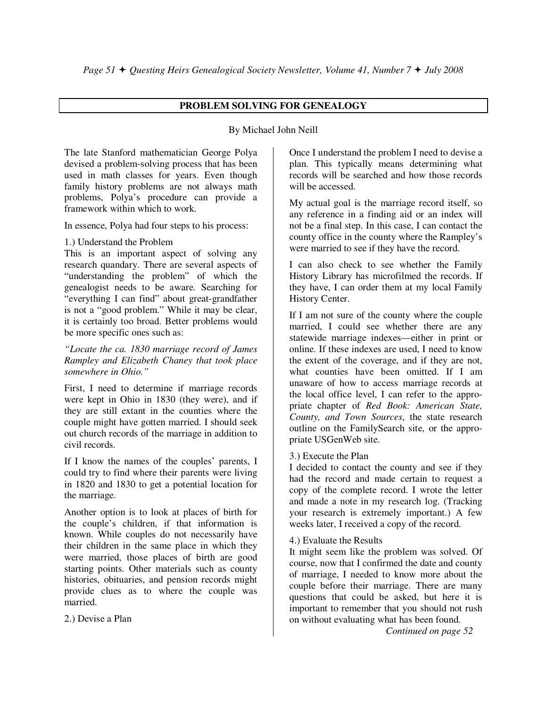# **PROBLEM SOLVING FOR GENEALOGY**

# By Michael John Neill

The late Stanford mathematician George Polya devised a problem-solving process that has been used in math classes for years. Even though family history problems are not always math problems, Polya's procedure can provide a framework within which to work.

In essence, Polya had four steps to his process:

# 1.) Understand the Problem

This is an important aspect of solving any research quandary. There are several aspects of "understanding the problem" of which the genealogist needs to be aware. Searching for "everything I can find" about great-grandfather is not a "good problem." While it may be clear, it is certainly too broad. Better problems would be more specific ones such as:

*"Locate the ca. 1830 marriage record of James Rampley and Elizabeth Chaney that took place somewhere in Ohio."* 

First, I need to determine if marriage records were kept in Ohio in 1830 (they were), and if they are still extant in the counties where the couple might have gotten married. I should seek out church records of the marriage in addition to civil records.

If I know the names of the couples' parents, I could try to find where their parents were living in 1820 and 1830 to get a potential location for the marriage.

Another option is to look at places of birth for the couple's children, if that information is known. While couples do not necessarily have their children in the same place in which they were married, those places of birth are good starting points. Other materials such as county histories, obituaries, and pension records might provide clues as to where the couple was married.

2.) Devise a Plan

Once I understand the problem I need to devise a plan. This typically means determining what records will be searched and how those records will be accessed.

My actual goal is the marriage record itself, so any reference in a finding aid or an index will not be a final step. In this case, I can contact the county office in the county where the Rampley's were married to see if they have the record.

I can also check to see whether the Family History Library has microfilmed the records. If they have, I can order them at my local Family History Center.

If I am not sure of the county where the couple married, I could see whether there are any statewide marriage indexes—either in print or online. If these indexes are used, I need to know the extent of the coverage, and if they are not, what counties have been omitted. If I am unaware of how to access marriage records at the local office level, I can refer to the appropriate chapter of *Red Book: American State, County, and Town Sources*, the state research outline on the FamilySearch site, or the appropriate USGenWeb site.

# 3.) Execute the Plan

I decided to contact the county and see if they had the record and made certain to request a copy of the complete record. I wrote the letter and made a note in my research log. (Tracking your research is extremely important.) A few weeks later, I received a copy of the record.

4.) Evaluate the Results

It might seem like the problem was solved. Of course, now that I confirmed the date and county of marriage, I needed to know more about the couple before their marriage. There are many questions that could be asked, but here it is important to remember that you should not rush on without evaluating what has been found.

*Continued on page 52*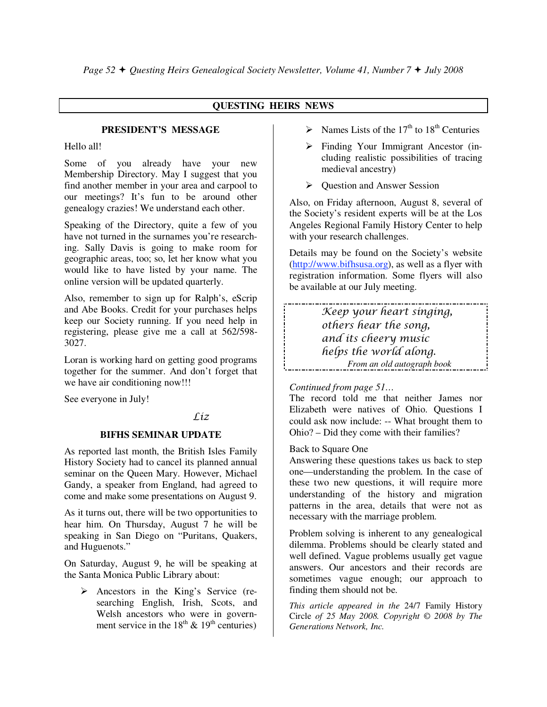# **QUESTING HEIRS NEWS**

#### **PRESIDENT'S MESSAGE**

Hello all!

Some of you already have your new Membership Directory. May I suggest that you find another member in your area and carpool to our meetings? It's fun to be around other genealogy crazies! We understand each other.

Speaking of the Directory, quite a few of you have not turned in the surnames you're researching. Sally Davis is going to make room for geographic areas, too; so, let her know what you would like to have listed by your name. The online version will be updated quarterly.

Also, remember to sign up for Ralph's, eScrip and Abe Books. Credit for your purchases helps keep our Society running. If you need help in registering, please give me a call at 562/598- 3027.

Loran is working hard on getting good programs together for the summer. And don't forget that we have air conditioning now!!!

See everyone in July!

# Líz

# **BIFHS SEMINAR UPDATE**

As reported last month, the British Isles Family History Society had to cancel its planned annual seminar on the Queen Mary. However, Michael Gandy, a speaker from England, had agreed to come and make some presentations on August 9.

As it turns out, there will be two opportunities to hear him. On Thursday, August 7 he will be speaking in San Diego on "Puritans, Quakers, and Huguenots."

On Saturday, August 9, he will be speaking at the Santa Monica Public Library about:

 $\triangleright$  Ancestors in the King's Service (researching English, Irish, Scots, and Welsh ancestors who were in government service in the  $18<sup>th</sup>$  &  $19<sup>th</sup>$  centuries)

- $\triangleright$  Names Lists of the 17<sup>th</sup> to 18<sup>th</sup> Centuries
- Finding Your Immigrant Ancestor (including realistic possibilities of tracing medieval ancestry)
- $\triangleright$  Question and Answer Session

Also, on Friday afternoon, August 8, several of the Society's resident experts will be at the Los Angeles Regional Family History Center to help with your research challenges.

Details may be found on the Society's website (http://www.bifhsusa.org), as well as a flyer with registration information. Some flyers will also be available at our July meeting.

Keep your heart singing, others hear the song, and its cheery music helps the world along. *From an old autograph book* 

# *Continued from page 51…*

The record told me that neither James nor Elizabeth were natives of Ohio. Questions I could ask now include: -- What brought them to Ohio? – Did they come with their families?

#### Back to Square One

Answering these questions takes us back to step one—understanding the problem. In the case of these two new questions, it will require more understanding of the history and migration patterns in the area, details that were not as necessary with the marriage problem.

Problem solving is inherent to any genealogical dilemma. Problems should be clearly stated and well defined. Vague problems usually get vague answers. Our ancestors and their records are sometimes vague enough; our approach to finding them should not be.

*This article appeared in the* 24/7 Family History Circle *of 25 May 2008. Copyright © 2008 by The Generations Network, Inc.*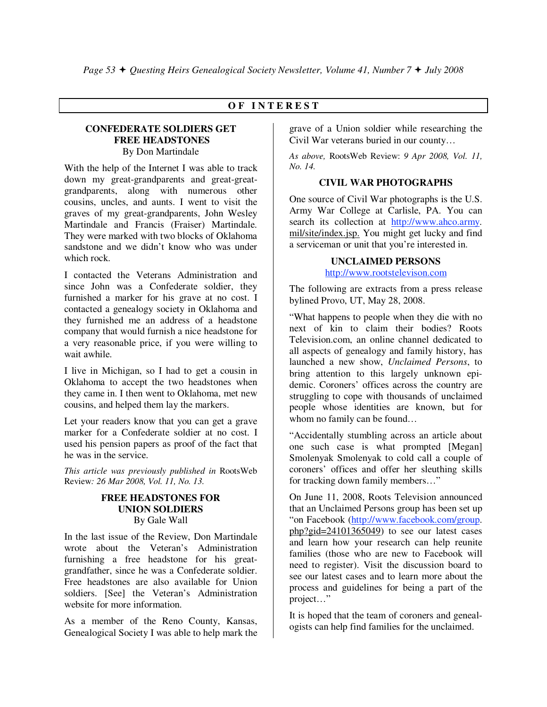# **O F I N T E R E S T**

# **CONFEDERATE SOLDIERS GET FREE HEADSTONES**  By Don Martindale

With the help of the Internet I was able to track down my great-grandparents and great-greatgrandparents, along with numerous other cousins, uncles, and aunts. I went to visit the graves of my great-grandparents, John Wesley Martindale and Francis (Fraiser) Martindale. They were marked with two blocks of Oklahoma sandstone and we didn't know who was under which rock.

I contacted the Veterans Administration and since John was a Confederate soldier, they furnished a marker for his grave at no cost. I contacted a genealogy society in Oklahoma and they furnished me an address of a headstone company that would furnish a nice headstone for a very reasonable price, if you were willing to wait awhile.

I live in Michigan, so I had to get a cousin in Oklahoma to accept the two headstones when they came in. I then went to Oklahoma, met new cousins, and helped them lay the markers.

Let your readers know that you can get a grave marker for a Confederate soldier at no cost. I used his pension papers as proof of the fact that he was in the service.

*This article was previously published in* RootsWeb Review*: 26 Mar 2008, Vol. 11, No. 13.* 

# **FREE HEADSTONES FOR UNION SOLDIERS**  By Gale Wall

In the last issue of the Review, Don Martindale wrote about the Veteran's Administration furnishing a free headstone for his greatgrandfather, since he was a Confederate soldier. Free headstones are also available for Union soldiers. [See] the Veteran's Administration website for more information.

As a member of the Reno County, Kansas, Genealogical Society I was able to help mark the grave of a Union soldier while researching the Civil War veterans buried in our county…

*As above,* RootsWeb Review: *9 Apr 2008, Vol. 11, No. 14.* 

#### **CIVIL WAR PHOTOGRAPHS**

One source of Civil War photographs is the U.S. Army War College at Carlisle, PA. You can search its collection at http://www.ahco.army. mil/site/index.jsp. You might get lucky and find a serviceman or unit that you're interested in.

#### **UNCLAIMED PERSONS**

http://www.rootstelevison.com

The following are extracts from a press release bylined Provo, UT, May 28, 2008.

"What happens to people when they die with no next of kin to claim their bodies? Roots Television.com, an online channel dedicated to all aspects of genealogy and family history, has launched a new show, *Unclaimed Persons*, to bring attention to this largely unknown epidemic. Coroners' offices across the country are struggling to cope with thousands of unclaimed people whose identities are known, but for whom no family can be found…

"Accidentally stumbling across an article about one such case is what prompted [Megan] Smolenyak Smolenyak to cold call a couple of coroners' offices and offer her sleuthing skills for tracking down family members…"

On June 11, 2008, Roots Television announced that an Unclaimed Persons group has been set up "on Facebook (http://www.facebook.com/group. php?gid=24101365049) to see our latest cases and learn how your research can help reunite families (those who are new to Facebook will need to register). Visit the discussion board to see our latest cases and to learn more about the process and guidelines for being a part of the project…"

It is hoped that the team of coroners and genealogists can help find families for the unclaimed.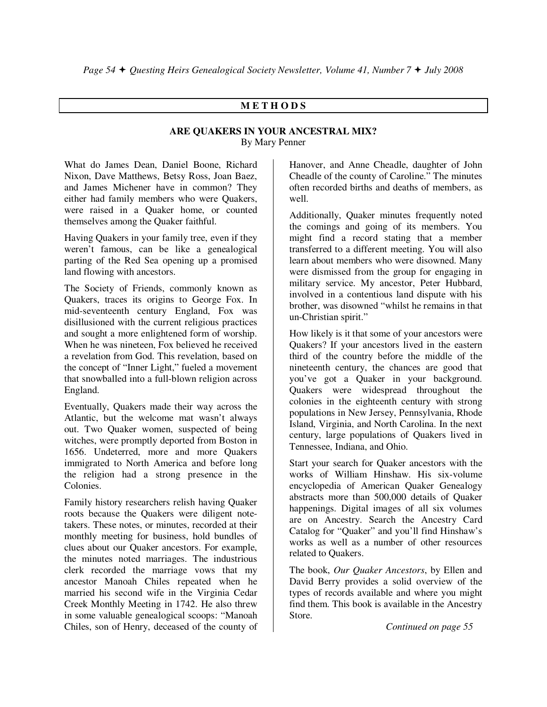# **M E T H O D S**

# **ARE QUAKERS IN YOUR ANCESTRAL MIX?**  By Mary Penner

What do James Dean, Daniel Boone, Richard Nixon, Dave Matthews, Betsy Ross, Joan Baez, and James Michener have in common? They either had family members who were Quakers, were raised in a Quaker home, or counted themselves among the Quaker faithful.

Having Quakers in your family tree, even if they weren't famous, can be like a genealogical parting of the Red Sea opening up a promised land flowing with ancestors.

The Society of Friends, commonly known as Quakers, traces its origins to George Fox. In mid-seventeenth century England, Fox was disillusioned with the current religious practices and sought a more enlightened form of worship. When he was nineteen, Fox believed he received a revelation from God. This revelation, based on the concept of "Inner Light," fueled a movement that snowballed into a full-blown religion across England.

Eventually, Quakers made their way across the Atlantic, but the welcome mat wasn't always out. Two Quaker women, suspected of being witches, were promptly deported from Boston in 1656. Undeterred, more and more Quakers immigrated to North America and before long the religion had a strong presence in the Colonies.

Family history researchers relish having Quaker roots because the Quakers were diligent notetakers. These notes, or minutes, recorded at their monthly meeting for business, hold bundles of clues about our Quaker ancestors. For example, the minutes noted marriages. The industrious clerk recorded the marriage vows that my ancestor Manoah Chiles repeated when he married his second wife in the Virginia Cedar Creek Monthly Meeting in 1742. He also threw in some valuable genealogical scoops: "Manoah Chiles, son of Henry, deceased of the county of

Hanover, and Anne Cheadle, daughter of John Cheadle of the county of Caroline." The minutes often recorded births and deaths of members, as well.

Additionally, Quaker minutes frequently noted the comings and going of its members. You might find a record stating that a member transferred to a different meeting. You will also learn about members who were disowned. Many were dismissed from the group for engaging in military service. My ancestor, Peter Hubbard, involved in a contentious land dispute with his brother, was disowned "whilst he remains in that un-Christian spirit."

How likely is it that some of your ancestors were Quakers? If your ancestors lived in the eastern third of the country before the middle of the nineteenth century, the chances are good that you've got a Quaker in your background. Quakers were widespread throughout the colonies in the eighteenth century with strong populations in New Jersey, Pennsylvania, Rhode Island, Virginia, and North Carolina. In the next century, large populations of Quakers lived in Tennessee, Indiana, and Ohio.

Start your search for Quaker ancestors with the works of William Hinshaw. His six-volume encyclopedia of American Quaker Genealogy abstracts more than 500,000 details of Quaker happenings. Digital images of all six volumes are on Ancestry. Search the Ancestry Card Catalog for "Quaker" and you'll find Hinshaw's works as well as a number of other resources related to Quakers.

The book, *Our Quaker Ancestors*, by Ellen and David Berry provides a solid overview of the types of records available and where you might find them. This book is available in the Ancestry Store.

*Continued on page 55*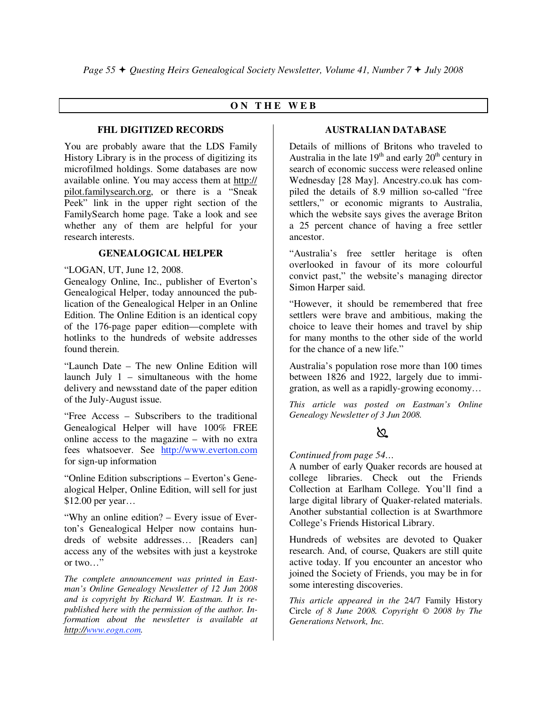# **O N T H E W E B**

#### **FHL DIGITIZED RECORDS**

You are probably aware that the LDS Family History Library is in the process of digitizing its microfilmed holdings. Some databases are now available online. You may access them at http:// pilot.familysearch.org, or there is a "Sneak Peek" link in the upper right section of the FamilySearch home page. Take a look and see whether any of them are helpful for your research interests.

#### **GENEALOGICAL HELPER**

"LOGAN, UT, June 12, 2008.

Genealogy Online, Inc., publisher of Everton's Genealogical Helper, today announced the publication of the Genealogical Helper in an Online Edition. The Online Edition is an identical copy of the 176-page paper edition—complete with hotlinks to the hundreds of website addresses found therein.

"Launch Date – The new Online Edition will launch July 1 – simultaneous with the home delivery and newsstand date of the paper edition of the July-August issue.

"Free Access – Subscribers to the traditional Genealogical Helper will have 100% FREE online access to the magazine – with no extra fees whatsoever. See http://www.everton.com for sign-up information

"Online Edition subscriptions – Everton's Genealogical Helper, Online Edition, will sell for just \$12.00 per year…

"Why an online edition? – Every issue of Everton's Genealogical Helper now contains hundreds of website addresses… [Readers can] access any of the websites with just a keystroke or two…"

*The complete announcement was printed in Eastman's Online Genealogy Newsletter of 12 Jun 2008 and is copyright by Richard W. Eastman. It is republished here with the permission of the author. Information about the newsletter is available at http://www.eogn.com.* 

# **AUSTRALIAN DATABASE**

Details of millions of Britons who traveled to Australia in the late  $19<sup>th</sup>$  and early  $20<sup>th</sup>$  century in search of economic success were released online Wednesday [28 May]. Ancestry.co.uk has compiled the details of 8.9 million so-called "free settlers," or economic migrants to Australia, which the website says gives the average Briton a 25 percent chance of having a free settler ancestor.

"Australia's free settler heritage is often overlooked in favour of its more colourful convict past," the website's managing director Simon Harper said.

"However, it should be remembered that free settlers were brave and ambitious, making the choice to leave their homes and travel by ship for many months to the other side of the world for the chance of a new life."

Australia's population rose more than 100 times between 1826 and 1922, largely due to immigration, as well as a rapidly-growing economy…

*This article was posted on Eastman's Online Genealogy Newsletter of 3 Jun 2008.* 

# ∖೭

*Continued from page 54…* 

A number of early Quaker records are housed at college libraries. Check out the Friends Collection at Earlham College. You'll find a large digital library of Quaker-related materials. Another substantial collection is at Swarthmore College's Friends Historical Library.

Hundreds of websites are devoted to Quaker research. And, of course, Quakers are still quite active today. If you encounter an ancestor who joined the Society of Friends, you may be in for some interesting discoveries.

*This article appeared in the* 24/7 Family History Circle *of 8 June 2008. Copyright © 2008 by The Generations Network, Inc.*